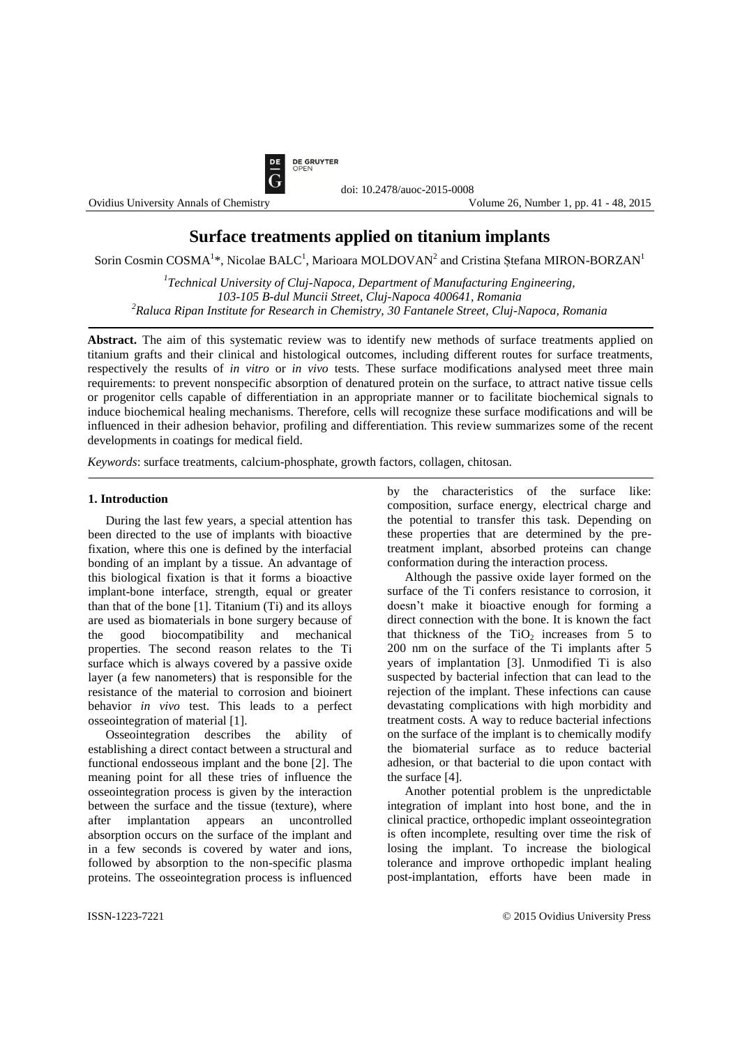

Ovidius University Annals of Chemistry Volume 26, Number 1, pp. 41 - 48, 2015

# **Surface treatments applied on titanium implants**

doi: 10.2478/auoc-2015-0008

Sorin Cosmin COSMA<sup>1</sup>\*, Nicolae BALC<sup>1</sup>, Marioara MOLDOVAN<sup>2</sup> and Cristina Ștefana MIRON-BORZAN<sup>1</sup>

*1 Technical University of Cluj-Napoca, Department of Manufacturing Engineering, 103-105 B-dul Muncii Street, Cluj-Napoca 400641, Romania <sup>2</sup>Raluca Ripan Institute for Research in Chemistry, 30 Fantanele Street, Cluj-Napoca, Romania* 

Abstract. The aim of this systematic review was to identify new methods of surface treatments applied on titanium grafts and their clinical and histological outcomes, including different routes for surface treatments, respectively the results of *in vitro* or *in vivo* tests. These surface modifications analysed meet three main requirements: to prevent nonspecific absorption of denatured protein on the surface, to attract native tissue cells or progenitor cells capable of differentiation in an appropriate manner or to facilitate biochemical signals to induce biochemical healing mechanisms. Therefore, cells will recognize these surface modifications and will be influenced in their adhesion behavior, profiling and differentiation. This review summarizes some of the recent developments in coatings for medical field.

*Keywords*: surface treatments, calcium-phosphate, growth factors, collagen, chitosan.

## **1. Introduction**

During the last few years, a special attention has been directed to the use of implants with bioactive fixation, where this one is defined by the interfacial bonding of an implant by a tissue. An advantage of this biological fixation is that it forms a bioactive implant-bone interface, strength, equal or greater than that of the bone [1]. Titanium (Ti) and its alloys are used as biomaterials in bone surgery because of the good biocompatibility and mechanical properties. The second reason relates to the Ti surface which is always covered by a passive oxide layer (a few nanometers) that is responsible for the resistance of the material to corrosion and bioinert behavior *in vivo* test. This leads to a perfect osseointegration of material [1].

Osseointegration describes the ability of establishing a direct contact between a structural and functional endosseous implant and the bone [2]. The meaning point for all these tries of influence the osseointegration process is given by the interaction between the surface and the tissue (texture), where after implantation appears an uncontrolled absorption occurs on the surface of the implant and in a few seconds is covered by water and ions, followed by absorption to the non-specific plasma proteins. The osseointegration process is influenced by the characteristics of the surface like: composition, surface energy, electrical charge and the potential to transfer this task. Depending on these properties that are determined by the pretreatment implant, absorbed proteins can change conformation during the interaction process.

Although the passive oxide layer formed on the surface of the Ti confers resistance to corrosion, it doesn't make it bioactive enough for forming a direct connection with the bone. It is known the fact that thickness of the TiO<sub>2</sub> increases from  $5$  to 200 nm on the surface of the Ti implants after 5 years of implantation [3]. Unmodified Ti is also suspected by bacterial infection that can lead to the rejection of the implant. These infections can cause devastating complications with high morbidity and treatment costs. A way to reduce bacterial infections on the surface of the implant is to chemically modify the biomaterial surface as to reduce bacterial adhesion, or that bacterial to die upon contact with the surface [4].

Another potential problem is the unpredictable integration of implant into host bone, and the in clinical practice, orthopedic implant osseointegration is often incomplete, resulting over time the risk of losing the implant. To increase the biological tolerance and improve orthopedic implant healing post-implantation, efforts have been made in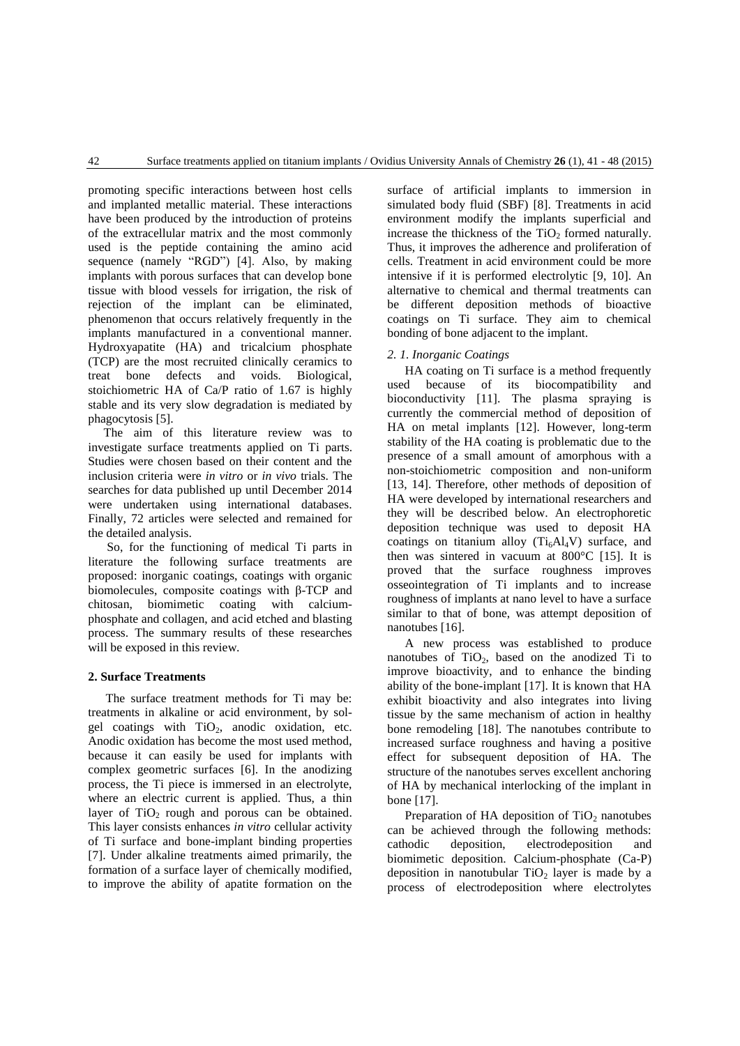promoting specific interactions between host cells and implanted metallic material. These interactions have been produced by the introduction of proteins of the extracellular matrix and the most commonly used is the peptide containing the amino acid sequence (namely "RGD") [4]. Also, by making implants with porous surfaces that can develop bone tissue with blood vessels for irrigation, the risk of rejection of the implant can be eliminated, phenomenon that occurs relatively frequently in the implants manufactured in a conventional manner. Hydroxyapatite (HA) and tricalcium phosphate (TCP) are the most recruited clinically ceramics to treat bone defects and voids. Biological, stoichiometric HA of Ca/P ratio of 1.67 is highly stable and its very slow degradation is mediated by phagocytosis [5].

 The aim of this literature review was to investigate surface treatments applied on Ti parts. Studies were chosen based on their content and the inclusion criteria were *in vitro* or *in vivo* trials. The searches for data published up until December 2014 were undertaken using international databases. Finally, 72 articles were selected and remained for the detailed analysis.

 So, for the functioning of medical Ti parts in literature the following surface treatments are proposed: inorganic coatings, coatings with organic biomolecules, composite coatings with β-TCP and chitosan, biomimetic coating with calciumphosphate and collagen, and acid etched and blasting process. The summary results of these researches will be exposed in this review.

## **2. Surface Treatments**

The surface treatment methods for Ti may be: treatments in alkaline or acid environment, by solgel coatings with  $TiO<sub>2</sub>$ , anodic oxidation, etc. Anodic oxidation has become the most used method, because it can easily be used for implants with complex geometric surfaces [6]. In the anodizing process, the Ti piece is immersed in an electrolyte, where an electric current is applied. Thus, a thin layer of  $TiO<sub>2</sub>$  rough and porous can be obtained. This layer consists enhances *in vitro* cellular activity of Ti surface and bone-implant binding properties [7]. Under alkaline treatments aimed primarily, the formation of a surface layer of chemically modified, to improve the ability of apatite formation on the

surface of artificial implants to immersion in simulated body fluid (SBF) [8]. Treatments in acid environment modify the implants superficial and increase the thickness of the  $TiO<sub>2</sub>$  formed naturally. Thus, it improves the adherence and proliferation of cells. Treatment in acid environment could be more intensive if it is performed electrolytic [9, 10]. An alternative to chemical and thermal treatments can be different deposition methods of bioactive coatings on Ti surface. They aim to chemical bonding of bone adjacent to the implant.

## *2. 1. Inorganic Coatings*

HA coating on Ti surface is a method frequently used because of its biocompatibility and bioconductivity [11]. The plasma spraying is currently the commercial method of deposition of HA on metal implants [12]. However, long-term stability of the HA coating is problematic due to the presence of a small amount of amorphous with a non-stoichiometric composition and non-uniform [13, 14]. Therefore, other methods of deposition of HA were developed by international researchers and they will be described below. An electrophoretic deposition technique was used to deposit HA coatings on titanium alloy  $(Ti<sub>6</sub>Al<sub>4</sub>V)$  surface, and then was sintered in vacuum at 800°C [15]. It is proved that the surface roughness improves osseointegration of Ti implants and to increase roughness of implants at nano level to have a surface similar to that of bone, was attempt deposition of nanotubes [16].

A new process was established to produce nanotubes of  $TiO<sub>2</sub>$ , based on the anodized Ti to improve bioactivity, and to enhance the binding ability of the bone-implant [17]. It is known that HA exhibit bioactivity and also integrates into living tissue by the same mechanism of action in healthy bone remodeling [18]. The nanotubes contribute to increased surface roughness and having a positive effect for subsequent deposition of HA. The structure of the nanotubes serves excellent anchoring of HA by mechanical interlocking of the implant in bone [17].

Preparation of HA deposition of  $TiO<sub>2</sub>$  nanotubes can be achieved through the following methods: cathodic deposition, electrodeposition and biomimetic deposition. Calcium-phosphate (Ca-P) deposition in nanotubular  $TiO<sub>2</sub>$  layer is made by a process of electrodeposition where electrolytes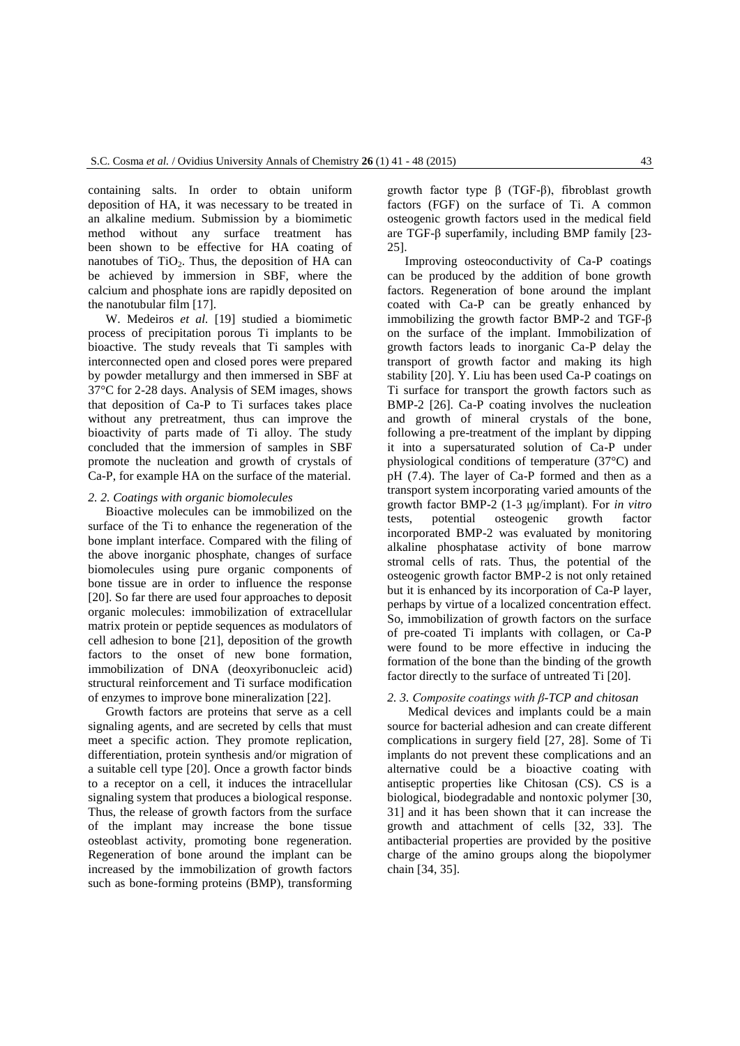containing salts. In order to obtain uniform deposition of HA, it was necessary to be treated in an alkaline medium. Submission by a biomimetic method without any surface treatment has been shown to be effective for HA coating of nanotubes of  $TiO<sub>2</sub>$ . Thus, the deposition of HA can be achieved by immersion in SBF, where the calcium and phosphate ions are rapidly deposited on the nanotubular film [17].

W. Medeiros *et al.* [19] studied a biomimetic process of precipitation porous Ti implants to be bioactive. The study reveals that Ti samples with interconnected open and closed pores were prepared by powder metallurgy and then immersed in SBF at 37°C for 2-28 days. Analysis of SEM images, shows that deposition of Ca-P to Ti surfaces takes place without any pretreatment, thus can improve the bioactivity of parts made of Ti alloy. The study concluded that the immersion of samples in SBF promote the nucleation and growth of crystals of Ca-P, for example HA on the surface of the material.

## *2. 2. Coatings with organic biomolecules*

Bioactive molecules can be immobilized on the surface of the Ti to enhance the regeneration of the bone implant interface. Compared with the filing of the above inorganic phosphate, changes of surface biomolecules using pure organic components of bone tissue are in order to influence the response [20]. So far there are used four approaches to deposit organic molecules: immobilization of extracellular matrix protein or peptide sequences as modulators of cell adhesion to bone [21], deposition of the growth factors to the onset of new bone formation, immobilization of DNA (deoxyribonucleic acid) structural reinforcement and Ti surface modification of enzymes to improve bone mineralization [22].

Growth factors are proteins that serve as a cell signaling agents, and are secreted by cells that must meet a specific action. They promote replication, differentiation, protein synthesis and/or migration of a suitable cell type [20]. Once a growth factor binds to a receptor on a cell, it induces the intracellular signaling system that produces a biological response. Thus, the release of growth factors from the surface of the implant may increase the bone tissue osteoblast activity, promoting bone regeneration. Regeneration of bone around the implant can be increased by the immobilization of growth factors such as bone-forming proteins (BMP), transforming growth factor type β (TGF-β), fibroblast growth factors (FGF) on the surface of Ti. A common osteogenic growth factors used in the medical field are TGF-β superfamily, including BMP family [23- 25].

Improving osteoconductivity of Ca-P coatings can be produced by the addition of bone growth factors. Regeneration of bone around the implant coated with Ca-P can be greatly enhanced by immobilizing the growth factor BMP-2 and TGF-β on the surface of the implant. Immobilization of growth factors leads to inorganic Ca-P delay the transport of growth factor and making its high stability [20]. Y. Liu has been used Ca-P coatings on Ti surface for transport the growth factors such as BMP-2 [26]. Ca-P coating involves the nucleation and growth of mineral crystals of the bone, following a pre-treatment of the implant by dipping it into a supersaturated solution of Ca-P under physiological conditions of temperature (37°C) and pH (7.4). The layer of Ca-P formed and then as a transport system incorporating varied amounts of the growth factor BMP-2 (1-3 μg/implant). For *in vitro* tests, potential osteogenic growth factor incorporated BMP-2 was evaluated by monitoring alkaline phosphatase activity of bone marrow stromal cells of rats. Thus, the potential of the osteogenic growth factor BMP-2 is not only retained but it is enhanced by its incorporation of Ca-P layer, perhaps by virtue of a localized concentration effect. So, immobilization of growth factors on the surface of pre-coated Ti implants with collagen, or Ca-P were found to be more effective in inducing the formation of the bone than the binding of the growth factor directly to the surface of untreated Ti [20].

## *2. 3. Composite coatings with β-TCP and chitosan*

Medical devices and implants could be a main source for bacterial adhesion and can create different complications in surgery field [27, 28]. Some of Ti implants do not prevent these complications and an alternative could be a bioactive coating with antiseptic properties like Chitosan (CS). CS is a biological, biodegradable and nontoxic polymer [30, 31] and it has been shown that it can increase the growth and attachment of cells [32, 33]. The antibacterial properties are provided by the positive charge of the amino groups along the biopolymer chain [34, 35].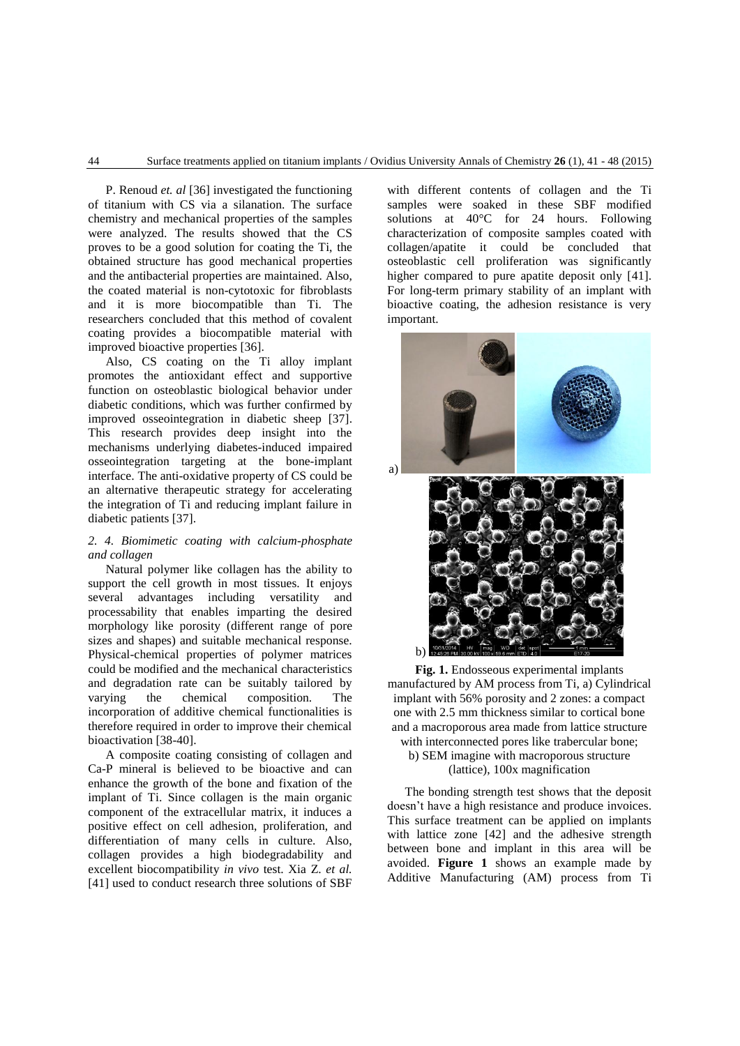P. Renoud *et. al* [36] investigated the functioning of titanium with CS via a silanation. The surface chemistry and mechanical properties of the samples were analyzed. The results showed that the CS proves to be a good solution for coating the Ti, the obtained structure has good mechanical properties and the antibacterial properties are maintained. Also, the coated material is non-cytotoxic for fibroblasts and it is more biocompatible than Ti. The researchers concluded that this method of covalent coating provides a biocompatible material with improved bioactive properties [36].

Also, CS coating on the Ti alloy implant promotes the antioxidant effect and supportive function on osteoblastic biological behavior under diabetic conditions, which was further confirmed by improved osseointegration in diabetic sheep [37]. This research provides deep insight into the mechanisms underlying diabetes-induced impaired osseointegration targeting at the bone-implant interface. The anti-oxidative property of CS could be an alternative therapeutic strategy for accelerating the integration of Ti and reducing implant failure in diabetic patients [37].

## *2. 4. Biomimetic coating with calcium-phosphate and collagen*

Natural polymer like collagen has the ability to support the cell growth in most tissues. It enjoys several advantages including versatility and processability that enables imparting the desired morphology like porosity (different range of pore sizes and shapes) and suitable mechanical response. Physical-chemical properties of polymer matrices could be modified and the mechanical characteristics and degradation rate can be suitably tailored by varying the chemical composition. The incorporation of additive chemical functionalities is therefore required in order to improve their chemical bioactivation [38-40].

A composite coating consisting of collagen and Ca-P mineral is believed to be bioactive and can enhance the growth of the bone and fixation of the implant of Ti. Since collagen is the main organic component of the extracellular matrix, it induces a positive effect on cell adhesion, proliferation, and differentiation of many cells in culture. Also, collagen provides a high biodegradability and excellent biocompatibility *in vivo* test. Xia Z. *et al.* [41] used to conduct research three solutions of SBF

with different contents of collagen and the Ti samples were soaked in these SBF modified solutions at 40°C for 24 hours. Following characterization of composite samples coated with collagen/apatite it could be concluded that osteoblastic cell proliferation was significantly higher compared to pure apatite deposit only [41]. For long-term primary stability of an implant with bioactive coating, the adhesion resistance is very important.



**Fig. 1.** Endosseous experimental implants manufactured by AM process from Ti, a) Cylindrical implant with 56% porosity and 2 zones: a compact one with 2.5 mm thickness similar to cortical bone and a macroporous area made from lattice structure with interconnected pores like trabercular bone;

b) SEM imagine with macroporous structure (lattice), 100x magnification

The bonding strength test shows that the deposit doesn't have a high resistance and produce invoices. This surface treatment can be applied on implants with lattice zone [42] and the adhesive strength between bone and implant in this area will be avoided. **Figure 1** shows an example made by Additive Manufacturing (AM) process from Ti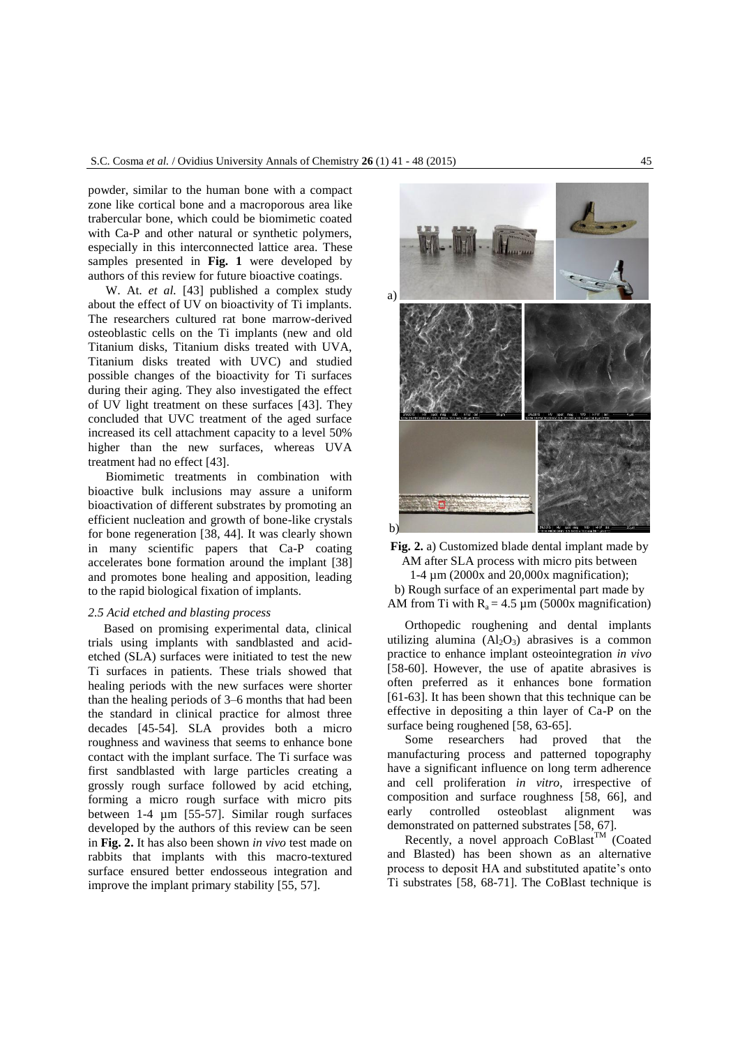powder, similar to the human bone with a compact zone like cortical bone and a macroporous area like trabercular bone, which could be biomimetic coated with Ca-P and other natural or synthetic polymers, especially in this interconnected lattice area. These samples presented in **Fig. 1** were developed by authors of this review for future bioactive coatings.

W. At. *et al.* [43] published a complex study about the effect of UV on bioactivity of Ti implants. The researchers cultured rat bone marrow-derived osteoblastic cells on the Ti implants (new and old Titanium disks, Titanium disks treated with UVA, Titanium disks treated with UVC) and studied possible changes of the bioactivity for Ti surfaces during their aging. They also investigated the effect of UV light treatment on these surfaces [43]. They concluded that UVC treatment of the aged surface increased its cell attachment capacity to a level 50% higher than the new surfaces, whereas UVA treatment had no effect [43].

Biomimetic treatments in combination with bioactive bulk inclusions may assure a uniform bioactivation of different substrates by promoting an efficient nucleation and growth of bone-like crystals for bone regeneration [38, 44]. It was clearly shown in many scientific papers that Ca-P coating accelerates bone formation around the implant [38] and promotes bone healing and apposition, leading to the rapid biological fixation of implants*.*

#### *2.5 Acid etched and blasting process*

 Based on promising experimental data, clinical trials using implants with sandblasted and acidetched (SLA) surfaces were initiated to test the new Ti surfaces in patients. These trials showed that healing periods with the new surfaces were shorter than the healing periods of 3–6 months that had been the standard in clinical practice for almost three decades [45-54]. SLA provides both a micro roughness and waviness that seems to enhance bone contact with the implant surface. The Ti surface was first sandblasted with large particles creating a grossly rough surface followed by acid etching, forming a micro rough surface with micro pits between 1-4 µm [55-57]. Similar rough surfaces developed by the authors of this review can be seen in **Fig. 2.** It has also been shown *in vivo* test made on rabbits that implants with this macro-textured surface ensured better endosseous integration and improve the implant primary stability [55, 57].



**Fig. 2.** a) Customized blade dental implant made by AM after SLA process with micro pits between 1-4 µm (2000x and 20,000x magnification); b) Rough surface of an experimental part made by AM from Ti with  $R_a = 4.5 \mu m$  (5000x magnification)

Orthopedic roughening and dental implants utilizing alumina  $(Al_2O_3)$  abrasives is a common practice to enhance implant osteointegration *in vivo*  [58-60]. However, the use of apatite abrasives is often preferred as it enhances bone formation [61-63]. It has been shown that this technique can be effective in depositing a thin layer of Ca-P on the surface being roughened [58, 63-65].

Some researchers had proved that the manufacturing process and patterned topography have a significant influence on long term adherence and cell proliferation *in vitro*, irrespective of composition and surface roughness [58, 66], and early controlled osteoblast alignment was demonstrated on patterned substrates [58, 67].

Recently, a novel approach  $\mathrm{CoBlast}^{\mathrm{TM}}$  (Coated and Blasted) has been shown as an alternative process to deposit HA and substituted apatite's onto Ti substrates [58, 68-71]. The CoBlast technique is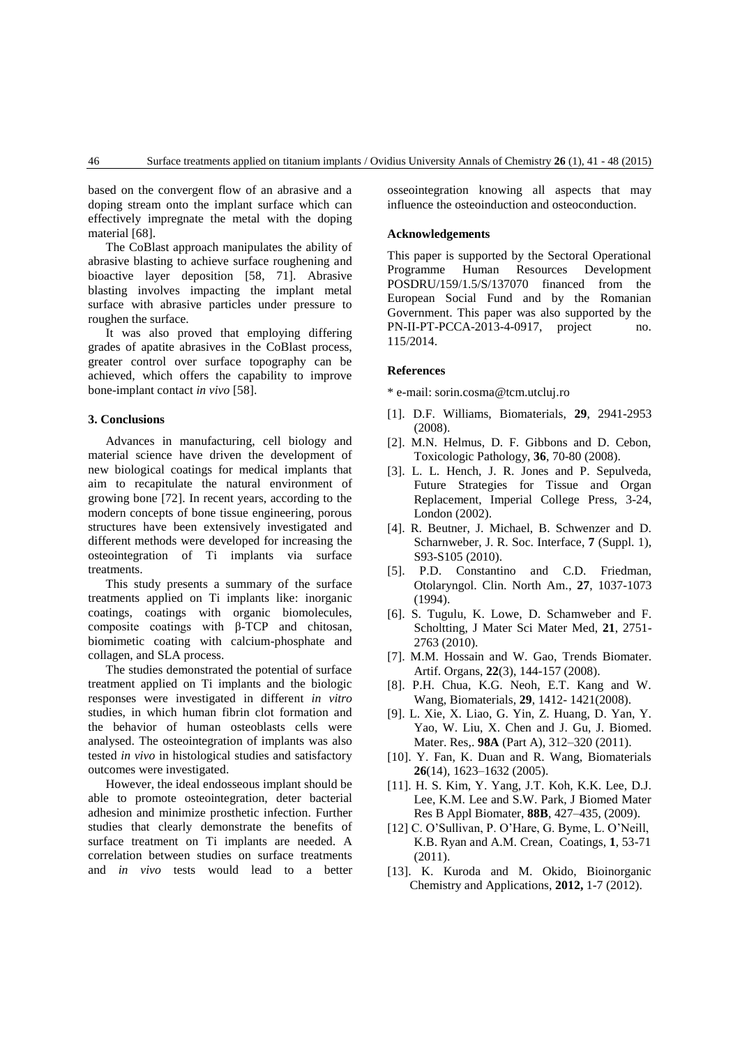based on the convergent flow of an abrasive and a doping stream onto the implant surface which can effectively impregnate the metal with the doping material [68].

The CoBlast approach manipulates the ability of abrasive blasting to achieve surface roughening and bioactive layer deposition [58, 71]. Abrasive blasting involves impacting the implant metal surface with abrasive particles under pressure to roughen the surface.

It was also proved that employing differing grades of apatite abrasives in the CoBlast process, greater control over surface topography can be achieved, which offers the capability to improve bone-implant contact *in vivo* [58].

## **3. Conclusions**

Advances in manufacturing, cell biology and material science have driven the development of new biological coatings for medical implants that aim to recapitulate the natural environment of growing bone [72]. In recent years, according to the modern concepts of bone tissue engineering, porous structures have been extensively investigated and different methods were developed for increasing the osteointegration of Ti implants via surface treatments.

This study presents a summary of the surface treatments applied on Ti implants like: inorganic coatings, coatings with organic biomolecules, composite coatings with β-TCP and chitosan, biomimetic coating with calcium-phosphate and collagen, and SLA process.

The studies demonstrated the potential of surface treatment applied on Ti implants and the biologic responses were investigated in different *in vitro* studies, in which human fibrin clot formation and the behavior of human osteoblasts cells were analysed. The osteointegration of implants was also tested *in vivo* in histological studies and satisfactory outcomes were investigated.

However, the ideal endosseous implant should be able to promote osteointegration, deter bacterial adhesion and minimize prosthetic infection. Further studies that clearly demonstrate the benefits of surface treatment on Ti implants are needed. A correlation between studies on surface treatments and *in vivo* tests would lead to a better

osseointegration knowing all aspects that may influence the osteoinduction and osteoconduction.

### **Acknowledgements**

This paper is supported by the Sectoral Operational<br>Programme Human Resources Development Programme Human Resources Development POSDRU/159/1.5/S/137070 financed from the European Social Fund and by the Romanian Government. This paper was also supported by the PN-II-PT-PCCA-2013-4-0917, project no. 115/2014.

### **References**

\* e-mail: sorin.cosma@tcm.utcluj.ro

- [1]. D.F. Williams, Biomaterials, **29**, 2941-2953 (2008).
- [2]. M.N. Helmus, D. F. Gibbons and D. Cebon, Toxicologic Pathology, **36**, 70-80 (2008).
- [3]. L. L. Hench, J. R. Jones and P. Sepulveda, Future Strategies for Tissue and Organ Replacement, Imperial College Press, 3-24, London (2002).
- [4]. R. Beutner, J. Michael, B. Schwenzer and D. Scharnweber, J. R. Soc. Interface, **7** (Suppl. 1), S93-S105 (2010).
- [5]. P.D. Constantino and C.D. Friedman, Otolaryngol. Clin. North Am., **27**, 1037-1073 (1994).
- [6]. S. Tugulu, K. Lowe, D. Schamweber and F. Scholtting, J Mater Sci Mater Med, **21**, 2751- 2763 (2010).
- [7]. M.M. Hossain and W. Gao, Trends Biomater. Artif. Organs, **22**(3), 144-157 (2008).
- [8]. P.H. Chua, K.G. Neoh, E.T. Kang and W. Wang, Biomaterials, **29**, 1412- 1421(2008).
- [9]. L. Xie, X. Liao, G. Yin, Z. Huang, D. Yan, Y. Yao, W. Liu, X. Chen and J. Gu, J. Biomed. Mater. Res,. **98A** (Part A), 312–320 (2011).
- [10]. Y. Fan, K. Duan and R. Wang, Biomaterials **26**(14), 1623–1632 (2005).
- [11]. H. S. Kim, Y. Yang, J.T. Koh, K.K. Lee, D.J. Lee, K.M. Lee and S.W. Park, J Biomed Mater Res B Appl Biomater, **88B**, 427–435, (2009).
- [12] C. O'Sullivan, P. O'Hare, G. Byme, L. O'Neill, K.B. Ryan and A.M. Crean, Coatings, **1**, 53-71 (2011).
- [13]. K. Kuroda and M. Okido, Bioinorganic Chemistry and Applications, **2012,** 1-7 (2012).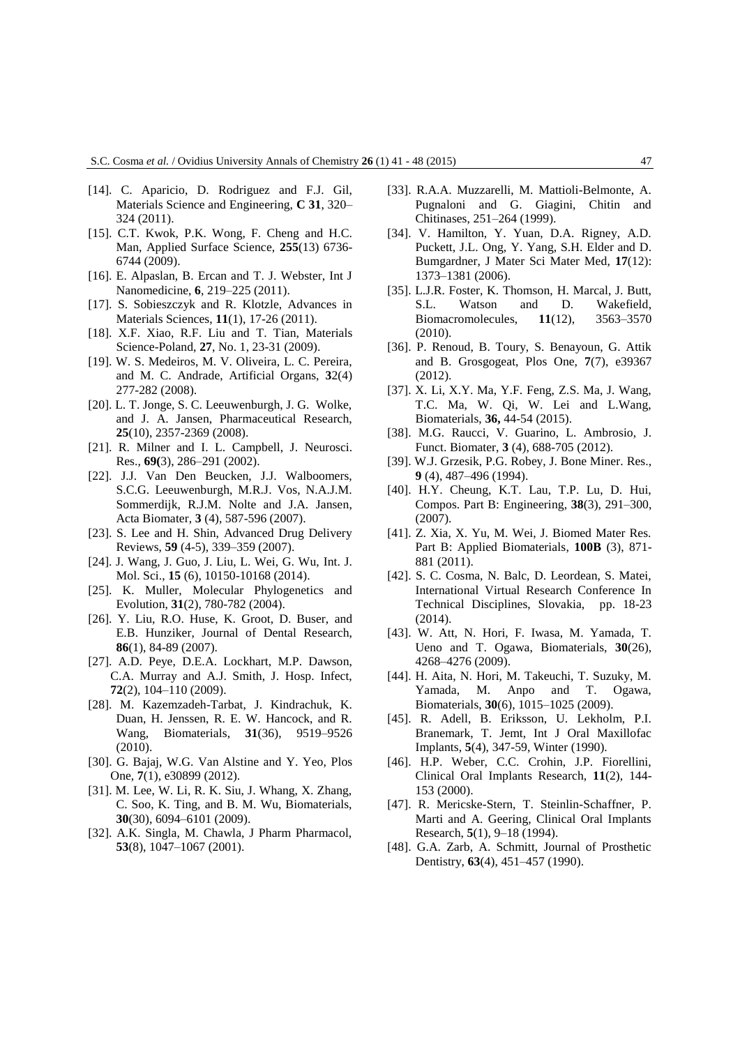- [14]. C. Aparicio, D. Rodriguez and F.J. Gil, Materials Science and Engineering, **C 31**, 320– 324 (2011).
- [15]. C.T. Kwok, P.K. Wong, F. Cheng and H.C. Man, Applied Surface Science, **255**(13) 6736- 6744 (2009).
- [16]. E. Alpaslan, B. Ercan and T. J. Webster, Int J Nanomedicine, **6**, 219–225 (2011).
- [17]. S. Sobieszczyk and R. Klotzle, Advances in Materials Sciences, **11**(1), 17-26 (2011).
- [18]. X.F. Xiao, R.F. Liu and T. Tian, Materials Science-Poland, **27**, No. 1, 23-31 (2009).
- [19]. W. S. Medeiros, M. V. Oliveira, L. C. Pereira, and M. C. Andrade, Artificial Organs, **3**2(4) 277-282 (2008).
- [20]. L. T. Jonge, S. C. Leeuwenburgh, J. G. Wolke, and J. A. Jansen, Pharmaceutical Research, **25**(10), 2357-2369 (2008).
- [21]. R. Milner and I. L. Campbell, J. Neurosci. Res., **69(**3), 286–291 (2002).
- [22]. J.J. Van Den Beucken, J.J. Walboomers, S.C.G. Leeuwenburgh, M.R.J. Vos, N.A.J.M. Sommerdijk, R.J.M. Nolte and J.A. Jansen, Acta Biomater, **3** (4), 587-596 (2007).
- [23]. S. Lee and H. Shin, Advanced Drug Delivery Reviews, **59** (4-5), 339–359 (2007).
- [24]. J. Wang, J. Guo, J. Liu, L. Wei, G. Wu, Int. J. Mol. Sci., **15** (6), 10150-10168 (2014).
- [25]. K. Muller, Molecular Phylogenetics and Evolution, **31**(2), 780-782 (2004).
- [26]. Y. Liu, R.O. Huse, K. Groot, D. Buser, and E.B. Hunziker, Journal of Dental Research, **86**(1), 84-89 (2007).
- [27]. A.D. Peye, D.E.A. Lockhart, M.P. Dawson, C.A. Murray and A.J. Smith, J. Hosp. Infect, **72**(2), 104–110 (2009).
- [28]. M. Kazemzadeh-Tarbat, J. Kindrachuk, K. Duan, H. Jenssen, R. E. W. Hancock, and R. Wang, Biomaterials, **31**(36), 9519–9526 (2010).
- [30]. G. Bajaj, W.G. Van Alstine and Y. Yeo, Plos One, **7**(1), e30899 (2012).
- [31]. M. Lee, W. Li, R. K. Siu, J. Whang, X. Zhang, C. Soo, K. Ting, and B. M. Wu, Biomaterials, **30**(30), 6094–6101 (2009).
- [32]. A.K. Singla, M. Chawla, J Pharm Pharmacol, **53**(8), 1047–1067 (2001).
- [33]. R.A.A. Muzzarelli, M. Mattioli-Belmonte, A. Pugnaloni and G. Giagini, Chitin and Chitinases, 251–264 (1999).
- [34]. V. Hamilton, Y. Yuan, D.A. Rigney, A.D. Puckett, J.L. Ong, Y. Yang, S.H. Elder and D. Bumgardner, J Mater Sci Mater Med, **17**(12): 1373–1381 (2006).
- [35]. L.J.R. Foster, K. Thomson, H. Marcal, J. Butt, S.L. Watson and D. Wakefield, Biomacromolecules, **11**(12), 3563–3570 (2010).
- [36]. P. Renoud, B. Toury, S. Benayoun, G. Attik and B. Grosgogeat, Plos One, **7**(7), e39367 (2012).
- [37]. X. Li, X.Y. Ma, Y.F. Feng, Z.S. Ma, J. Wang, T.C. Ma, W. Qi, W. Lei and L.Wang, Biomaterials, **36,** 44-54 (2015).
- [38]. M.G. Raucci, V. Guarino, L. Ambrosio, J. Funct. Biomater, **3** (4), 688-705 (2012).
- [39]. W.J. Grzesik, P.G. Robey, J. Bone Miner. Res., **9** (4), 487–496 (1994).
- [40]. H.Y. Cheung, K.T. Lau, T.P. Lu, D. Hui, Compos. Part B: Engineering, **38**(3), 291–300, (2007).
- [41]. Z. Xia, X. Yu, M. Wei, J. Biomed Mater Res. Part B: Applied Biomaterials, **100B** (3), 871- 881 (2011).
- [42]. S. C. Cosma, N. Balc, D. Leordean, S. Matei, International Virtual Research Conference In Technical Disciplines, Slovakia, pp. 18-23 (2014).
- [43]. W. Att, N. Hori, F. Iwasa, M. Yamada, T. Ueno and T. Ogawa, Biomaterials, **30**(26), 4268–4276 (2009).
- [44]. H. Aita, N. Hori, M. Takeuchi, T. Suzuky, M. Yamada, M. Anpo and T. Ogawa, Biomaterials, **30**(6), 1015–1025 (2009).
- [45]. R. Adell, B. Eriksson, U. Lekholm, P.I. Branemark, T. Jemt, Int J Oral Maxillofac Implants, **5**(4), 347-59, Winter (1990).
- [46]. H.P. Weber, C.C. Crohin, J.P. Fiorellini, Clinical Oral Implants Research, **11**(2), 144- 153 (2000).
- [47]. R. Mericske-Stern, T. Steinlin-Schaffner, P. Marti and A. Geering, Clinical Oral Implants Research, **5**(1), 9–18 (1994).
- [48]. G.A. Zarb, A. Schmitt, Journal of Prosthetic Dentistry, **63**(4), 451–457 (1990).